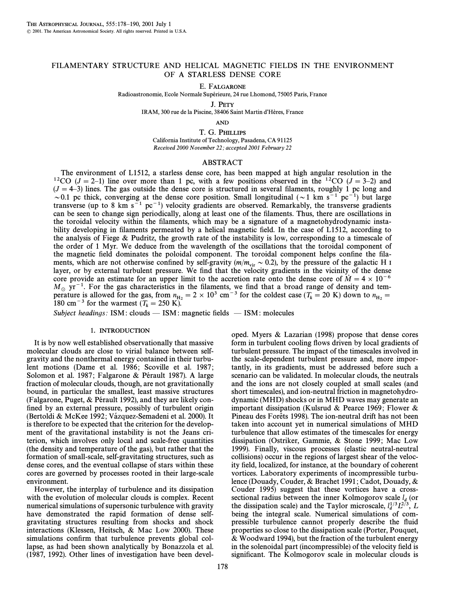# FILAMENTARY STRUCTURE AND HELICAL MAGNETIC FIELDS IN THE ENVIRONMENT OF A STARLESS DENSE CORE

### E. FALGARONE

Radioastronomie, Ecole Normale Supérieure, 24 rue Lhomond, 75005 Paris, France

J. PETY

IRAM, 300 rue de la Piscine, 38406 Saint Martin d'Hères, France

AND

T. G. PHILLIPS California Institute of Technology, Pasadena, CA 91125 Received 2000 November 22; accepted 2001 February 22

# ABSTRACT

The environment of L1512, a starless dense core, has been mapped at high angular resolution in the <sup>12</sup>CO ( $J = 2$ <sup>-1</sup>) line over more than 1 pc, with a few positions observed in the <sup>12</sup>CO ( $J = 3$ <sup>-2</sup>) and  $(J = 4-3)$  lines. The gas outside the dense core is structured in several filaments, roughly 1 pc long and  $\sim$  0.1 pc thick, converging at the dense core position. Small longitudinal ( $\sim$  1 km s<sup>-1</sup> pc<sup>-1</sup>) but large transverse (up to 8 km  $s^{-1}$  pc<sup>-1</sup>) velocity gradients are observed. Remarkably, the transverse gradients can be seen to change sign periodically, along at least one of the filaments. Thus, there are oscillations in the toroidal velocity within the filaments, which may be a signature of a magnetohydrodynamic instability developing in filaments permeated by a helical magnetic field. In the case of L1512, according to the analysis of Fiege  $\&$  Pudritz, the growth rate of the instability is low, corresponding to a timescale of the order of 1 Myr. We deduce from the wavelength of the oscillations that the toroidal component of the magnetic field dominates the poloidal component. The toroidal component helps confine the filaments, which are not otherwise confined by self-gravity  $(m/m_{vir} \sim 0.2)$ , by the pressure of the galactic H I layer, or by external turbulent pressure. We find that the velocity gradients in the vicinity of the dense core provide an estimate for an upper limit to the accretion rate onto the dense core of  $\dot{M} = 4 \times 10^{-6}$  $M_{\odot}$  yr<sup>-1</sup>. For the gas characteristics in the filaments, we find that a broad range of density and tem-<br>persture is allowed for the gas from  $n_{\rm c} = 2 \times 10^3$  cm<sup>-3</sup> for the coldest case (T – 20 K) down to  $n_{\rm c} =$ perature is allowed for the gas, from  $n_{\text{H}_2} = 2 \times 10^3 \text{ cm}^{-3}$  for the coldest case  $(T_k = 20 \text{ K})$  down to  $n_{\text{H}_2} = 180 \text{ cm}^{-3}$  for the warmest  $(T - 250 \text{ K})$ 180 cm<sup>-3</sup> for the warmest ( $T_k = 250$  K).

Subject headings: ISM : clouds — ISM : magnetic fields — ISM : molecules

## 1. INTRODUCTION

It is by now well established observationally that massive molecular clouds are close to virial balance between selfgravity and the nonthermal energy contained in their turbulent motions (Dame et al. 1986; Scoville et al. 1987; Solomon et al. 1987; Falgarone & Pérault 1987). A large fraction of molecular clouds, though, are not gravitationally bound, in particular the smallest, least massive structures (Falgarone, Puget,  $&$  Pérault 1992), and they are likely confined by an external pressure, possibly of turbulent origin (Bertoldi & McKee 1992; Vázquez-Semadeni et al. 2000). It is therefore to be expected that the criterion for the development of the gravitational instability is not the Jeans criterion, which involves only local and scale-free quantities (the density and temperature of the gas), but rather that the formation of small-scale, self-gravitating structures, such as dense cores, and the eventual collapse of stars within these cores are governed by processes rooted in their large-scale environment.

However, the interplay of turbulence and its dissipation with the evolution of molecular clouds is complex. Recent numerical simulations of supersonic turbulence with gravity have demonstrated the rapid formation of dense selfgravitating structures resulting from shocks and shock interactions (Klessen, Heitsch, & Mac Low 2000). These simulations confirm that turbulence prevents global collapse, as had been shown analytically by Bonazzola et al. (1987, 1992). Other lines of investigation have been developed. Myers & Lazarian (1998) propose that dense cores form in turbulent cooling flows driven by local gradients of turbulent pressure. The impact of the timescales involved in the scale-dependent turbulent pressure and, more importantly, in its gradients, must be addressed before such a scenario can be validated. In molecular clouds, the neutrals and the ions are not closely coupled at small scales (and short timescales), and ion-neutral friction in magnetohydrodynamic (MHD) shocks or in MHD waves may generate an important dissipation (Kulsrud & Pearce 1969; Flower & Pineau des Forêts 1998). The ion-neutral drift has not been taken into account yet in numerical simulations of MHD turbulence that allow estimates of the timescales for energy dissipation (Ostriker, Gammie, & Stone 1999; Mac Low 1999). Finally, viscous processes (elastic neutral-neutral collisions) occur in the regions of largest shear of the velocity field, localized, for instance, at the boundary of coherent vortices. Laboratory experiments of incompressible turbulence (Douady, Couder, & Brachet 1991 ; Cadot, Douady, & Couder 1995) suggest that these vortices have a crosssectional radius between the inner Kolmogorov scale  $l_d$  (or de dissipation scale) and the Taylor microscale,  $l_d^{1/3}L^{2/3}$ , I<br>heing the integral scale Numerical simulations of combeing the integral scale. Numerical simulations of compressible turbulence cannot properly describe the fluid properties so close to the dissipation scale (Porter, Pouquet, & Woodward 1994), but the fraction of the turbulent energy in the solenoidal part (incompressible) of the velocity field is significant. The Kolmogorov scale in molecular clouds is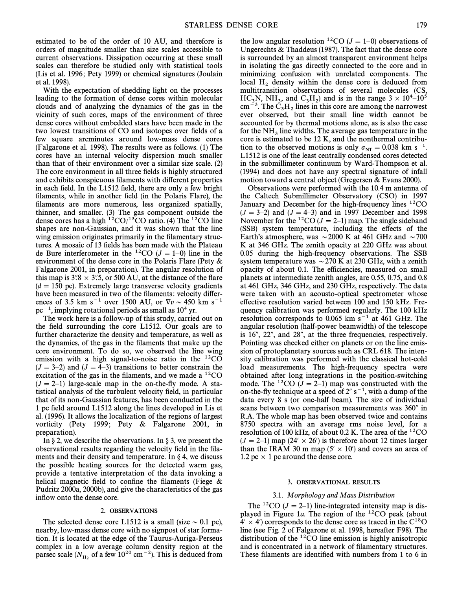estimated to be of the order of 10 AU, and therefore is orders of magnitude smaller than size scales accessible to current observations. Dissipation occurring at these small scales can therefore be studied only with statistical tools (Lis et al. 1996; Pety 1999) or chemical signatures (Joulain et al. 1998).

With the expectation of shedding light on the processes leading to the formation of dense cores within molecular clouds and of analyzing the dynamics of the gas in the vicinity of such cores, maps of the environment of three dense cores without embedded stars have been made in the two lowest transitions of CO and isotopes over fields of a few square arcminutes around low-mass dense cores (Falgarone et al. 1998). The results were as follows. (1) The cores have an internal velocity dispersion much smaller than that of their environment over a similar size scale. (2) The core environment in all three fields is highly structured and exhibits conspicuous filaments with different properties in each field. In the L1512 field, there are only a few bright filaments, while in another field (in the Polaris Flare), the filaments are more numerous, less organized spatially, thinner, and smaller. (3) The gas component outside the dense cores has a high  $12^{\circ}CO/13^{\circ}CO$  ratio. (4) The  $12^{\circ}CO$  line shapes are non-Gaussian, and it was shown that the line wing emission originates primarily in the filamentary structures. A mosaic of 13 fields has been made with the Plateau de Bure interferometer in the <sup>12</sup>CO ( $J = 1-0$ ) line in the environment of the dense core in the Polaris Flare (Pety & Falgarone 2001, in preparation). The angular resolution of this map is  $3\degree 8 \times 3\degree 5$ , or 500 AU, at the distance of the flare  $(d = 150 \text{ pc})$ . Extremely large transverse velocity gradients have been measured in two of the filaments: velocity differences of 3.5 km s<sup>-1</sup> over 1500 AU, or  $\nabla v \sim 450$  km s<sup>-1</sup>  $pc^{-1}$ , implying rotational periods as small as 10<sup>4</sup> yr.

The work here is a follow-up of this study, carried out on the field surrounding the core L1512. Our goals are to further characterize the density and temperature, as well as the dynamics, of the gas in the filaments that make up the core environment. To do so, we observed the line wing emission with a high signal-to-noise ratio in the  $^{12}CO$  $(J = 3-2)$  and  $(J = 4-3)$  transitions to better constrain the excitation of the gas in the filaments, and we made a  ${}^{12}CO$  $(J = 2-1)$  large-scale map in the on-the-fly mode. A statistical analysis of the turbulent velocity field, in particular that of its non-Gaussian features, has been conducted in the 1 pc field around L1512 along the lines developed in Lis et al. (1996). It allows the localization of the regions of largest vorticity (Pety 1999; Pety  $\&$  Falgarone 2001, in preparation).

In  $\S 2$ , we describe the observations. In  $\S 3$ , we present the observational results regarding the velocity field in the filaments and their density and temperature. In  $\S$  4, we discuss the possible heating sources for the detected warm gas, provide a tentative interpretation of the data invoking a helical magnetic field to confine the filaments (Fiege  $\&$ Pudritz 2000a, 2000b), and give the characteristics of the gas inflow onto the dense core.

### 2. OBSERVATIONS

The selected dense core L1512 is a small (size  $\sim 0.1$  pc), nearby, low-mass dense core with no signpost of star formation. It is located at the edge of the Taurus-Auriga-Perseus complex in a low average column density region at the parsec scale ( $N_{\text{H}_2}$  of a few 10<sup>20</sup> cm<sup>-2</sup>). This is deduced from

the low angular resolution <sup>12</sup>CO ( $J = 1-0$ ) observations of Ungerechts & Thaddeus (1987). The fact that the dense core is surrounded by an almost transparent environment helps in isolating the gas directly connected to the core and in minimizing confusion with unrelated components. The local  $H_2$  density within the dense core is deduced from multitransition observations of several molecules (CS,  $\text{HC}_3 \text{N}$ ,  $\text{NH}_3$ , and  $\text{C}_3 \text{H}_2$ ) and is in the range  $3 \times 10^4$ – $10^5$ <br>cm<sup>-3</sup>. The C<sub>1</sub>H lines in this core are among the narrowest  $\text{cm}^{-3}$ . The  $\text{C}_3\text{H}_2$  lines in this core are among the narrowest ever observed, but their small line width cannot be accounted for by thermal motions alone, as is also the case for the NH<sub>3</sub> line widths. The average gas temperature in the core is estimated to be 12 K, and the nonthermal contribution to the observed motions is only  $\sigma_{NT} = 0.038$  km s<sup>-1</sup>. L1512 is one of the least centrally condensed cores detected in the submillimeter continuum by Ward-Thompson et al. (1994) and does not have any spectral signature of infall motion toward a central object (Gregersen & Evans 2000).

Observations were performed with the 10.4 m antenna of the Caltech Submillimeter Observatory (CSO) in 1997 January and December for the high-frequency lines <sup>12</sup>CO  $(J = 3-2)$  and  $(J = 4-3)$  and in 1997 December and 1998 November for the <sup>12</sup>CO ( $J = 2-1$ ) map. The single sideband (SSB) system temperature, including the effects of the Earth's atmosphere, was  $\sim$  2000 K at 461 GHz and  $\sim$  700 K at 346 GHz. The zenith opacity at 220 GHz was about 0.05 during the high-frequency observations. The SSB system temperature was  $\sim$  270 K at 230 GHz, with a zenith opacity of about 0.1. The efficiencies, measured on small planets at intermediate zenith angles, are 0.55, 0.75, and 0.8 at 461 GHz, 346 GHz, and 230 GHz, respectively. The data were taken with an acousto-optical spectrometer whose effective resolution varied between 100 and 150 kHz. Frequency calibration was performed regularly. The 100 kHz resolution corresponds to  $0.065$  km s<sup> $-1$ </sup> at 461 GHz. The angular resolution (half-power beamwidth) of the telescope is  $16$ ",  $22$ ", and  $28$ ", at the three frequencies, respectively. Pointing was checked either on planets or on the line emission of protoplanetary sources such as CRL 618. The intensity calibration was performed with the classical hot-cold load measurements. The high-frequency spectra were obtained after long integrations in the position-switching mode. The <sup>12</sup>CO ( $J = 2-1$ ) map was constructed with the on-the-fly technique at a speed of  $2'' s^{-1}$ , with a dump of the data every 8 s (or one-half beam). The size of individual scans between two comparison measurements was 360" in R.A. The whole map has been observed twice and contains 8750 spectra with an average rms noise level, for a resolution of 100 kHz, of about 0.2 K. The area of the  ${}^{12}CO$  $(J = 2-1)$  map (24'  $\times$  26') is therefore about 12 times larger than the IRAM 30 m map  $(5' \times 10')$  and covers an area of 1.2 pc  $\times$  1 pc around the dense core.

# 3. OBSERVATIONAL RESULTS

## 3.1. Morphology and Mass Distribution

The <sup>12</sup>CO ( $J = 2-1$ ) line-integrated intensity map is displayed in Figure 1a. The region of the  ${}^{12}CO$  peak (about  $4' \times 4'$  corresponds to the dense core as traced in the C<sup>18</sup>O line (see Fig. 2 of Falgarone et al. 1998, hereafter F98). The distribution of the  ${}^{12}CO$  line emission is highly anisotropic and is concentrated in a network of filamentary structures. These filaments are identified with numbers from 1 to 6 in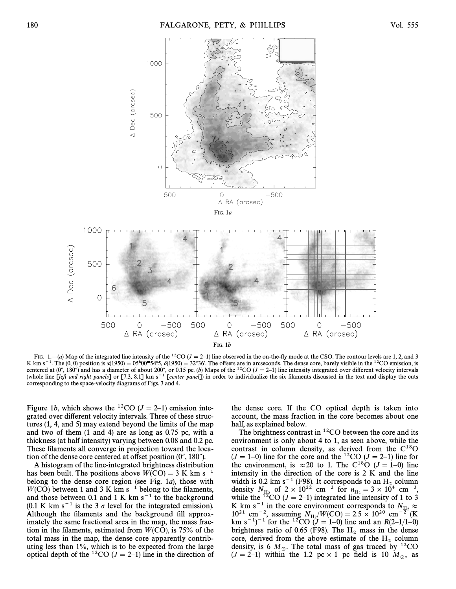

FIG. 1.—(a) Map of the integrated line intensity of the <sup>12</sup>CO ( $J = 2$ –1) line observed in the on-the-fly mode at the CSO. The contour levels are 1, 2, and 3 K km s<sup>-1</sup>. The (0, 0) position is  $\alpha(1950) = 0.5^{\text{h}}00^{\text{m}}54.5$ ,  $\delta(1950) = 32^{\circ}36'$ . The offsets are in arcseconds. The dense core, barely visible in the <sup>12</sup>CO emission, is centered at (0", 180") and has a diameter of about 200", or 0.15 pc. (b) Maps of the <sup>12</sup>CO ( $J = 2-1$ ) line intensity integrated over different velocity intervals (whole line [left and right panels] or [7.3, 8.1] km s<sup>-1</sup> [center panel]) in order to individualize the six filaments discussed in the text and display the cuts corresponding to the space-velocity diagrams of Figs. 3 and 4.

Figure 1b, which shows the <sup>12</sup>CO ( $J = 2-1$ ) emission integrated over different velocity intervals. Three of these structures (1, 4, and 5) may extend beyond the limits of the map and two of them (1 and 4) are as long as 0.75 pc, with a thickness (at half intensity) varying between 0.08 and 0.2 pc. These filaments all converge in projection toward the location of the dense core centered at offset position  $(0'', 180'')$ .

A histogram of the line-integrated brightness distribution has been built. The positions above  $W(CO) = 3$  K km s<sup>-1</sup> belong to the dense core region (see Fig. 1a), those with  $W(CO)$  between 1 and 3 K km s<sup>-1</sup> belong to the filaments, and those between 0.1 and 1 K km  $s^{-1}$  to the background (0.1 K km s<sup>-1</sup> is the 3  $\sigma$  level for the integrated emission). Although the filaments and the background fill approximately the same fractional area in the map, the mass fraction in the filaments, estimated from  $W(CO)$ , is 75% of the total mass in the map, the dense core apparently contributing less than 1%, which is to be expected from the large optical depth of the <sup>12</sup>CO ( $J = 2-1$ ) line in the direction of

the dense core. If the CO optical depth is taken into account, the mass fraction in the core becomes about one half, as explained below.

The brightness contrast in  ${}^{12}$ CO between the core and its environment is only about 4 to 1, as seen above, while the contrast in column density, as derived from the  $C^{18}O$  $(J = 1-0)$  line for the core and the <sup>12</sup>CO  $(J = 2-1)$  line for the environment, is  $\approx 20$  to 1. The C<sup>18</sup>O ( $J = 1-0$ ) line intensity in the direction of the core is 2 K and the line width is 0.2 km s<sup>-1</sup> (F98). It corresponds to an H<sub>2</sub> column<br>density  $N_{\text{H}_2}$  of  $2 \times 10^{22}$  cm<sup>-2</sup> for  $n_{\text{H}_2} = 3 \times 10^4$  cm<sup>-3</sup>,<br>while the <sup>12</sup>CO (I – 2-1) integrated line intensity of 1 to 3 while the <sup>12</sup>CO ( $J = 2-1$ ) integrated line intensity of 1 to 3 K km s<sup>-1</sup> in the core environment corresponds to  $N_{\text{H}_2} \approx 10^{21}$  cm<sup>-2</sup> essuming  $N/(W(C)) = 2.5 \times 10^{20}$  cm<sup>-2</sup> (K)  $10^{21}$  cm<sup>-2</sup>, assuming  $N_{\rm H_2}/W({\rm CO}) = 2.5 \times 10^{20}$  cm<sup>-2</sup> (K<br>km s<sup>-1</sup>)<sup>-1</sup> for the <sup>12</sup>CO (L = 1-0) line and an *B*(2-1/1-0) km s<sup>-1</sup>)<sup>-1</sup> for the <sup>12</sup>CO (J = 1–0) line and an R(2–1/1–0) brightness ratio of 0.65 (F98). The H<sub>2</sub> mass in the dense core, derived from the above estimate of the H<sub>2</sub> column density, is 6  $M_{\odot}$ . The total mass of gas traced by <sup>12</sup>CO  $(J = 2-1)$  within the 1.2 pc × 1 pc field is 10  $M_\odot$ , as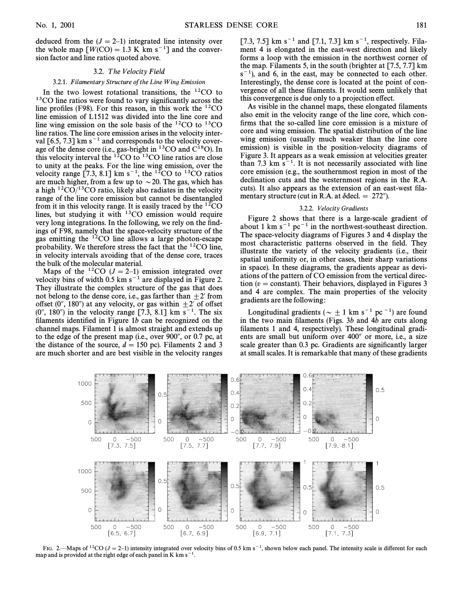deduced from the  $(J = 2-1)$  integrated line intensity over the whole map  $[W(CO) = 1.3 \text{ K km s}^{-1}]$  and the conversion factor and line ratios quoted above.

#### 3.2. The Velocity Field

# 3.2.1. Filamentary Structure of the Line Wing Emission

In the two lowest rotational transitions, the  $^{12}CO$  to  $13$ CO line ratios were found to vary significantly across the line profiles (F98). For this reason, in this work the  $^{12}CO$ line emission of L1512 was divided into the line core and line wing emission on the sole basis of the 12CO to 13CO line ratios. The line core emission arises in the velocity interval  $[6.5, 7.3]$  km s<sup> $-1$ </sup> and corresponds to the velocity coverage of the dense core (i.e., gas-bright in  $^{13}CO$  and  $C^{18}O$ ). In this velocity interval the  ${}^{12}CO$  to  ${}^{13}CO$  line ratios are close to unity at the peaks. For the line wing emission, over the velocity range  $[7.3, 8.1]$  km s<sup>-1</sup>, the <sup>12</sup>CO to <sup>13</sup>CO ratios are much higher, from a few up to  $\sim$  20. The gas, which has a high  ${}^{12}CO/{}^{13}CO$  ratio, likely also radiates in the velocity range of the line core emission but cannot be disentangled from it in this velocity range. It is easily traced by the  ${}^{12}CO$ lines, but studying it with 13CO emission would require very long integrations. In the following, we rely on the findings of F98, namely that the space-velocity structure of the gas emitting the  $12^{\circ}$ CO line allows a large photon-escape probability. We therefore stress the fact that the  ${}^{12}CO$  line, in velocity intervals avoiding that of the dense core, traces the bulk of the molecular material.

Maps of the <sup>12</sup>CO ( $J = 2-1$ ) emission integrated over velocity bins of width  $0.5 \text{ km s}^{-1}$  are displayed in Figure 2. They illustrate the complex structure of the gas that does not belong to the dense core, i.e., gas farther than  $\pm 2'$  from offset (0", 180") at any velocity, or gas within  $\pm 2'$  of offset  $(0^{\prime\prime}, 180^{\prime\prime})$  in the velocity range [7.3, 8.1] km s<sup>-1</sup>. The six filaments identified in Figure  $1b$  can be recognized on the channel maps. Filament 1 is almost straight and extends up to the edge of the present map (i.e., over  $900^{\circ}$ , or 0.7 pc, at the distance of the source,  $d = 150$  pc). Filaments 2 and 3 are much shorter and are best visible in the velocity ranges [7.3, 7.5] km s<sup>-1</sup> and [7.1, 7.3] km s<sup>-1</sup>, respectively. Filament 4 is elongated in the east-west direction and likely forms a loop with the emission in the northwest corner of the map. Filaments 5, in the south (brighter at [7.5, 7.7] km  $s^{-1}$ ), and 6, in the east, may be connected to each other. Interestingly, the dense core is located at the point of convergence of all these filaments. It would seem unlikely that this convergence is due only to a projection effect.

As visible in the channel maps, these elongated filaments also emit in the velocity range of the line core, which confirms that the so-called line core emission is a mixture of core and wing emission. The spatial distribution of the line wing emission (usually much weaker than the line core emission) is visible in the position-velocity diagrams of Figure 3. It appears as a weak emission at velocities greater than 7.3 km  $s^{-1}$ . It is not necessarily associated with line core emission (e.g., the southernmost region in most of the declination cuts and the westernmost regions in the R.A. cuts). It also appears as the extension of an east-west filamentary structure (cut in R.A. at  $\delta$ decl. = 272").

#### 3.2.2. Velocity Gradients

Figure 2 shows that there is a large-scale gradient of about 1 km  $s^{-1}$  pc<sup>-1</sup> in the northwest-southeast direction. The space-velocity diagrams of Figures 3 and 4 display the most characteristic patterns observed in the field. They illustrate the variety of the velocity gradients (i.e., their spatial uniformity or, in other cases, their sharp variations in space). In these diagrams, the gradients appear as deviations of the pattern of CO emission from the vertical direction ( $v = constant$ ). Their behaviors, displayed in Figures 3 and 4 are complex. The main properties of the velocity gradients are the following :

Longitudinal gradients ( $\sim \pm 1$  km s<sup>-1</sup> pc<sup>-1</sup>) are found in the two main filaments (Figs.  $3b$  and  $4\overline{b}$  are cuts along filaments 1 and 4, respectively). These longitudinal gradients are small but uniform over 400" or more, i.e., a size scale greater than 0.3 pc. Gradients are significantly larger at small scales. It is remarkable that many of these gradients



FIG. 2.—Maps of <sup>12</sup>CO (J = 2–1) intensity integrated over velocity bins of 0.5 km s<sup>-1</sup>, shown below each panel. The intensity scale is different for each map and is provided at the right edge of each panel in K km  $s^{-1}$ .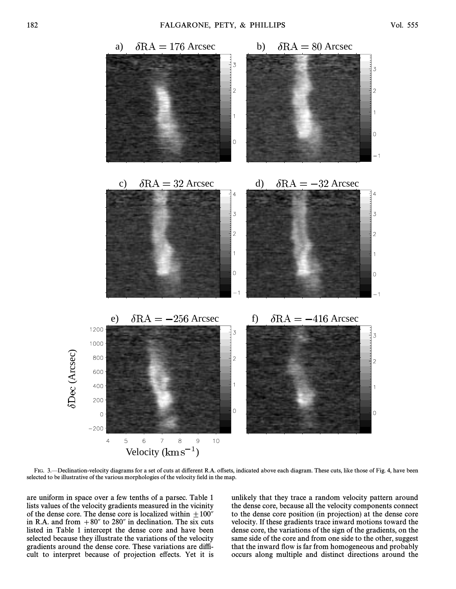

FIG. 3.—Declination-velocity diagrams for a set of cuts at different R.A. offsets, indicated above each diagram. These cuts, like those of Fig. 4, have been selected to be illustrative of the various morphologies of the velocity field in the map.

are uniform in space over a few tenths of a parsec. Table 1 lists values of the velocity gradients measured in the vicinity of the dense core. The dense core is localized within  $+100<sup>7</sup>$ in R.A. and from  $+80''$  to 280" in declination. The six cuts listed in Table 1 intercept the dense core and have been selected because they illustrate the variations of the velocity gradients around the dense core. These variations are difficult to interpret because of projection effects. Yet it is unlikely that they trace a random velocity pattern around the dense core, because all the velocity components connect to the dense core position (in projection) at the dense core velocity. If these gradients trace inward motions toward the dense core, the variations of the sign of the gradients, on the same side of the core and from one side to the other, suggest that the inward flow is far from homogeneous and probably occurs along multiple and distinct directions around the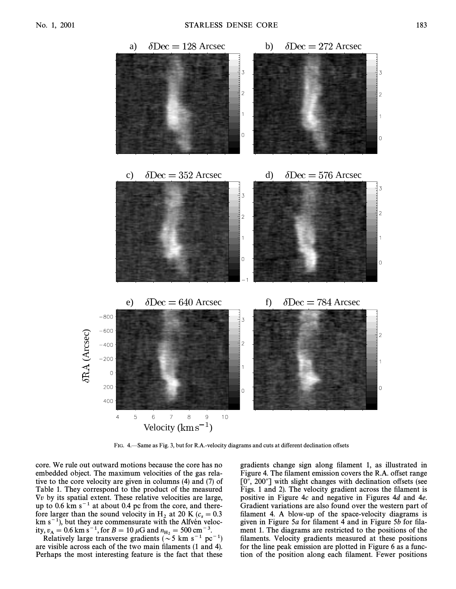

FIG. 4. Same as Fig. 3, but for R.A.-velocity diagrams and cuts at different declination offsets

core. We rule out outward motions because the core has no embedded object. The maximum velocities of the gas relative to the core velocity are given in columns (4) and (7) of Table 1. They correspond to the product of the measured  $\nabla v$  by its spatial extent. These relative velocities are large, up to  $0.6 \text{ km s}^{-1}$  at about 0.4 pc from the core, and therefore larger than the sound velocity in H<sub>2</sub> at 20 K ( $c_s = 0.3$ )<br>km s<sup>-1</sup>) but they are commensurate with the Alfvén velockm s<sup>-1</sup>), but they are commensurate with the Alfvén velocity,  $v_A = 0.6$  km s<sup>-1</sup>, for  $B = 10 \mu$ G and  $n_{\text{H}_2} = 500 \text{ cm}^{-3}$ .<br>Relatively large transverse gradients ( $\sim$  5 km s<sup>-1</sup> no

Relatively large transverse gradients ( $\sim$  5 km s<sup>-1</sup> pc<sup>-1</sup>) are visible across each of the two main filaments (1 and 4). Perhaps the most interesting feature is the fact that these gradients change sign along filament 1, as illustrated in Figure 4. The filament emission covers the R.A. offset range  $[0, 200]$  with slight changes with declination offsets (see Figs. 1 and 2). The velocity gradient across the filament is positive in Figure 4c and negative in Figures 4d and 4e. Gradient variations are also found over the western part of filament 4. A blow-up of the space-velocity diagrams is given in Figure 5a for filament 4 and in Figure 5b for filament 1. The diagrams are restricted to the positions of the filaments. Velocity gradients measured at these positions for the line peak emission are plotted in Figure 6 as a function of the position along each filament. Fewer positions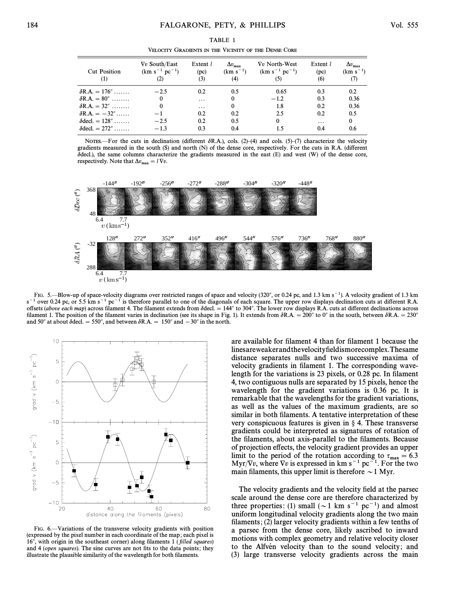| <b>Cut Position</b><br>(1) | $\nabla v$ South/East<br>$(km s^{-1} pc^{-1})$<br>(2) | Extent $l$<br>(pc)<br>(3) | $\Delta v_{\rm max}$<br>$(km s^{-1})$<br>(4) | $\nabla v$ North-West<br>$(km s^{-1} pc^{-1})$<br>(5) | Extent l<br>(pc)<br>(6) | $\Delta v_{\rm max}$<br>$(km s^{-1})$ |  |  |
|----------------------------|-------------------------------------------------------|---------------------------|----------------------------------------------|-------------------------------------------------------|-------------------------|---------------------------------------|--|--|
| $\delta$ R.A. = 176"       | $-2.5$                                                | 0.2                       | 0.5                                          | 0.65                                                  | 0.3                     | 0.2                                   |  |  |
| $\delta$ R.A. = 80"        | $\Omega$                                              | .                         | $\Omega$                                     | $-1.2$                                                | 0.3                     | 0.36                                  |  |  |
| $\delta$ R.A. = 32"        | $\theta$                                              | $\cdots$                  | $\bf{0}$                                     | 1.8                                                   | 0.2                     | 0.36                                  |  |  |
| $\delta$ R.A. = $-32$ "    | $-1$                                                  | 0.2                       | 0.2                                          | 2.5                                                   | 0.2                     | 0.5                                   |  |  |
| $\delta$ decl. = 128"      | $-2.5$                                                | 0.2                       | 0.5                                          | $\bf{0}$                                              | $\cdots$                | $\bf{0}$                              |  |  |
| $\delta$ decl. = 272"      | $-1.3$                                                | 0.3                       | 0.4                                          | 1.5                                                   | 0.4                     | 0.6                                   |  |  |

TABLE 1 VELOCITY GRADIENTS IN THE VICINITY OF THE DENSE CORE

NOTES.—For the cuts in declination (different  $\delta$ R.A.), cols. (2)–(4) and cols. (5)–(7) characterize the velocity gradients measured in the south (S) and north (N) of the dense core, respectively. For the cuts in R.A. (di†erent  $\delta$ decl.), the same columns characterize the gradients measured in the east (E) and west (W) of the dense core, respectively. Note that  $\Delta v_{\text{max}} = l \nabla v$ .



FIG. 5.—Blow-up of space-velocity diagrams over restricted ranges of space and velocity (320", or 0.24 pc, and 1.3 km s<sup>-1</sup>). A velocity gradient of 1.3 km  $s^{-1}$  over 0.24 pc, or 5.5 km s<sup>-1</sup> pc<sup>-1</sup> is therefore parallel to one of the diagonals of each square. The upper row displays declination cuts at different R.A. offsets (above each map) across filament 4. The filament extends from  $\delta$ decl. = 144" to 304". The lower row displays R.A. cuts at different declinations across filament 1. The position of the filament varies in declination (see its shape in Fig. 1). It extends from  $\delta R.A. = 200''$  to 0" in the south, between  $\delta R.A. = 230''$ and 50" at about  $\delta$  decl. = 550", and between  $\delta$ R.A. = 150" and  $-30$ " in the north.



FIG. 6.—Variations of the transverse velocity gradients with position (expressed by the pixel number in each coordinate of the map ; each pixel is 16'', with origin in the southeast corner) along filaments 1 (filled squares) and 4 (*open squares*). The sine curves are not fits to the data points; they illustrate the plausible similarity of the wavelength for both filaments.

are available for filament 4 than for filament 1 because the linesareweakerandthevelocityfieldismorecomplex.Thesame distance separates nulls and two successive maxima of velocity gradients in filament 1. The corresponding wavelength for the variations is 23 pixels, or 0.28 pc. In filament 4, two contiguous nulls are separated by 15 pixels, hence the wavelength for the gradient variations is 0.36 pc. It is remarkable that the wavelengths for the gradient variations, as well as the values of the maximum gradients, are so similar in both filaments. A tentative interpretation of these very conspicuous features is given in  $\S$  4. These transverse gradients could be interpreted as signatures of rotation of the filaments, about axis-parallel to the filaments. Because of projection e†ects, the velocity gradient provides an upper limit to the period of the rotation according to  $\tau_{\text{max}} = 6.3$ <br>Myr/Vn where  $\nabla v$  is expressed in km s<sup>-1</sup> pc<sup>-1</sup>. For the two Myr/ $\nabla v$ , where  $\nabla v$  is expressed in km s<sup>-1</sup> pc<sup>-1</sup>. For the two main filaments, this upper limit is therefore  $\sim$  1 Myr.

The velocity gradients and the velocity field at the parsec scale around the dense core are therefore characterized by three properties: (1) small ( $\sim$ 1 km s<sup>-1</sup> pc<sup>-1</sup>) and almost uniform longitudinal velocity gradients along the two main filaments;  $(2)$  larger velocity gradients within a few tenths of a parsec from the dense core, likely ascribed to inward motions with complex geometry and relative velocity closer to the Alfven velocity than to the sound velocity; and (3) large transverse velocity gradients across the main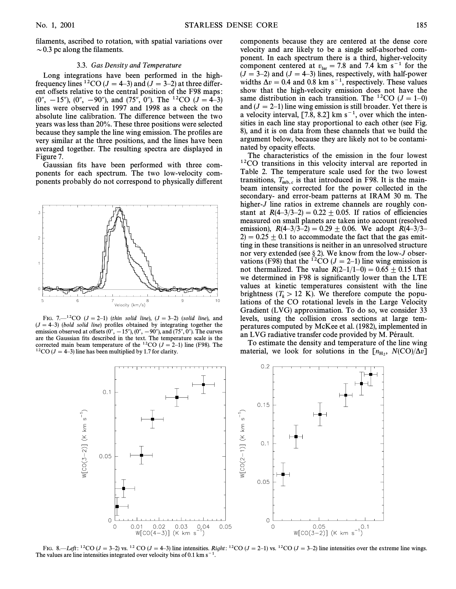filaments, ascribed to rotation, with spatial variations over  $\sim$  0.3 pc along the filaments.

# 3.3. Gas Density and Temperature

Long integrations have been performed in the highfrequency lines <sup>12</sup>CO ( $J = 4-3$ ) and ( $J = 3-2$ ) at three different offsets relative to the central position of the F98 maps:  $(0'', -15''), (0'', -90'')$ , and  $(75'', 0'')$ . The <sup>12</sup>CO  $(J = 4-3)$ lines were observed in 1997 and 1998 as a check on the absolute line calibration. The difference between the two years was less than 20%. These three positions were selected because they sample the line wing emission. The profiles are very similar at the three positions, and the lines have been averaged together. The resulting spectra are displayed in Figure 7.

Gaussian fits have been performed with three components for each spectrum. The two low-velocity components probably do not correspond to physically di†erent



FIG. 7.<sup>{-12}</sup>CO ( $J = 2$ <sup>-1</sup>) (thin solid line), ( $J = 3$ <sup>-2</sup>) (solid line), and  $(J = 4-3)$  (bold solid line) profiles obtained by integrating together the emission observed at offsets  $(0^{\prime\prime}, -15^{\prime\prime}), (0^{\prime\prime}, -90^{\prime\prime}),$  and  $(75^{\prime\prime}, 0^{\prime\prime}).$  The curves are the Gaussian fits described in the text. The temperature scale is the corrected main beam temperature of the  ${}^{12}CO$  ( $J = 2-1$ ) line (F98). The <sup>12</sup>CO ( $J = 4-3$ ) line has been multiplied by 1.7 for clarity.

components because they are centered at the dense core velocity and are likely to be a single self-absorbed component. In each spectrum there is a third, higher-velocity component centered at  $v_{\text{lsr}} = 7.8$  and 7.4 km s<sup>-1</sup> for the  $(J = 3-2)$  and  $(J = 4-3)$  lines, respectively, with half-power widths  $\Delta v = 0.4$  and 0.8 km s<sup>-1</sup>, respectively. These values show that the high-velocity emission does not have the same distribution in each transition. The <sup>12</sup>CO ( $J = 1-0$ ) and  $(J = 2-1)$  line wing emission is still broader. Yet there is a velocity interval,  $[7.8, 8.2]$  km s<sup>-1</sup>, over which the intensities in each line stay proportional to each other (see Fig. 8), and it is on data from these channels that we build the argument below, because they are likely not to be contaminated by opacity effects.

The characteristics of the emission in the four lowest <sup>12</sup>CO transitions in this velocity interval are reported in Table 2. The temperature scale used for the two lowest transitions,  $T_{\text{mb},c}$  is that introduced in F98. It is the mainbeam intensity corrected for the power collected in the secondary- and error-beam patterns at IRAM 30 m. The higher-J line ratios in extreme channels are roughly constant at  $R(4-3/3-2)=0.22\pm 0.05$ . If ratios of efficiencies measured on small planets are taken into account (resolved emission),  $R(4-3/3-2) = 0.29 \pm 0.06$ . We adopt  $R(4-3/3)$ <sup>-</sup>  $2$ ) = 0.25  $\pm$  0.1 to accommodate the fact that the gas emitting in these transitions is neither in an unresolved structure nor very extended (see  $\S 2$ ). We know from the low-J observations (F98) that the <sup>12</sup>CO ( $J = 2-1$ ) line wing emission is not thermalized. The value  $R(2-1/1-0) = 0.65 \pm 0.15$  that we determined in F98 is significantly lower than the LTE values at kinetic temperatures consistent with the line brightness ( $T_k > 12$  K). We therefore compute the populations of the CO rotational levels in the Large Velocity Gradient (LVG) approximation. To do so, we consider 33 levels, using the collision cross sections at large temperatures computed by McKee et al. (1982), implemented in an LVG radiative transfer code provided by M. Pérault.

To estimate the density and temperature of the line wing material, we look for solutions in the  $\left[n_{\text{H}_2}, N(\text{CO})/\Delta v\right]$ 



FIG. 8.—Left: <sup>12</sup>CO (J = 3–2) vs. <sup>12</sup> CO (J = 4–3) line intensities. Right: <sup>12</sup>CO (J = 2–1) vs. <sup>12</sup>CO (J = 3–2) line intensities over the extreme line wings. The values are line intensities integrated over velocity bins of 0.1 km s<sup> $-1$ </sup>.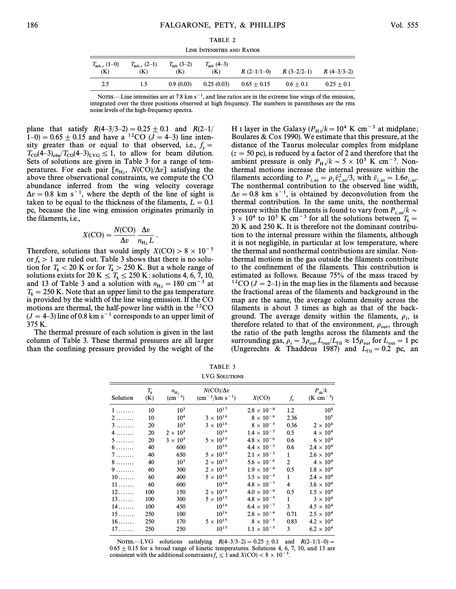TABLE 2 LINE INTENSITIES AND RATIOS

| $T_{\rm mb,c}$ (1–0)<br>(K) | $T_{\rm mb,c}$ (2–1)<br>(K) | $T_{\rm mb}$ (3–2)<br>(K) | $T_{\rm mb}$ (4–3)<br>(K) | $R(2-1/1-0)$  | $R(3-2/2-1)$ | $R(4-3/3-2)$ |
|-----------------------------|-----------------------------|---------------------------|---------------------------|---------------|--------------|--------------|
| 2.5                         | 1.5                         | 0.9(0.03)                 | 0.25(0.03)                | $0.65 + 0.15$ | $0.6 + 0.1$  | $0.25 + 0.1$ |

NOTES.—Line intensities are at 7.8 km  $s^{-1}$ , and line ratios are in the extreme line wings of the emission, integrated over the three positions observed at high frequency. The numbers in parentheses are the rms noise levels of the high-frequency spectra.

plane that satisfy  $R(4-3/3-2) = 0.25 \pm 0.1$  and  $R(2-1/$  $(1-0) = 0.65 \pm 0.15$  and have a <sup>12</sup>CO ( $\overline{J} = 4-3$ ) line intensity greater than or equal to that observed, i.e.,  $f_s =$  $T_{\rm col}$  to allow for  $\leq 1$ , to allow for beam dilution.<br>Sets of solutions are given in Table 3 for a range of tem Sets of solutions are given in Table 3 for a range of temperatures. For each pair  $[n_{\text{H}_2}, N(CO)/\Delta v]$  satisfying the halove three observational constraints we compute the CO above three observational constraints, we compute the CO abundance inferred from the wing velocity coverage  $\Delta v = 0.8$  km s<sup>-1</sup>, where the depth of the line of sight is taken to be equal to the thickness of the filaments,  $L = 0.1$ pc, because the line wing emission originates primarily in the filaments, *i.e.*,

$$
X(CO) = \frac{N(CO)}{\Delta v} \frac{\Delta v}{n_{\rm H_2} L}.
$$

Therefore, solutions that would imply  $X(CO) > 8 \times 10^{-5}$ or  $f_s > 1$  are ruled out. Table 3 shows that there is no solution for  $T_k < 20$  K or for  $T_k > 250$  K. But a whole range of solutions exists for 20 K  $\leq T_k \leq 250$  K: solutions 4, 6, 7, 10, and 13 of Table 3 and a solution with  $n_{\rm H_2} = 180 \text{ cm}^{-3}$  at  $m_{\rm H_2} = 180 \text{ cm}^{-3}$ .  $T_k = 250$  K. Note that an upper limit to the gas temperature<br>is provided by the width of the line wing emission. If the CO is provided by the width of the line wing emission. If the CO motions are thermal, the half-power line width in the  ${}^{12}CO$  $(J = 4-3)$  line of 0.8 km s<sup>-1</sup> corresponds to an upper limit of 375 K.

The thermal pressure of each solution is given in the last column of Table 3. These thermal pressures are all larger than the confining pressure provided by the weight of the

H I layer in the Galaxy ( $P_H/k = 10^4$  K cm<sup>-3</sup> at midplane;<br>Boulares & Cox 1990). We estimate that this pressure at the Boulares & Cox 1990). We estimate that this pressure, at the distance of the Taurus molecular complex from midplane  $(z = 50 \text{ pc})$ , is reduced by a factor of 2 and therefore that the ambient pressure is only  $P_H/k \sim 5 \times 10^3$  K cm<sup>-3</sup>. Non-<br>thermal motions increase the internal pressure within the thermal motions increase the internal pressure within the filaments according to  $P_{i,nt} = \rho_i \bar{v}_{i,nt}^2/3$ , with  $\bar{v}_{i,nt} = 1.6\sigma_{i,nt}$ .<br>The nonthermal contribution to the observed line width,  $\Delta v = 0.8$  km s<sup>-1</sup>, is obtained by deconvolution from the thermal contribution. In the same units, the nonthermal pressure within the filaments is found to vary from  $P_{i,nt}/k \sim$  $3 \times 10^4$  to 10<sup>3</sup> K cm<sup>-3</sup> for all the solutions between  $T_k =$ 20 K and 250 K. It is therefore not the dominant contribution to the internal pressure within the filaments, although it is not negligible, in particular at low temperature, where the thermal and nonthermal contributions are similar. Nonthermal motions in the gas outside the filaments contribute to the confinement of the filaments. This contribution is estimated as follows. Because 75% of the mass traced by <sup>12</sup>CO ( $J = 2-1$ ) in the map lies in the filaments and because the fractional areas of the filaments and background in the map are the same, the average column density across the filaments is about 3 times as high as that of the background. The average density within the filaments,  $\rho_i$ , is therefore related to that of the environment,  $\rho_{\text{tot}}$ , through the environment,  $\rho_{\text{tot}}$ , through the environment,  $\rho_{\text{tot}}$ , through the ratio of the path lengths across the filaments and the surrounding gas,  $\rho_i = 3\rho_{\text{out}} L_{\text{out}}/L_{\text{fil}} \approx 15\rho_{\text{out}}$  for  $L_{\text{out}} = 1$  pc<br>(Ungerechts,  $\mathcal{R}_i$ , Thaddeus, 1987), and  $L_{\text{out}} = 0.2$ , pc, and (Ungerechts & Thaddeus 1987) and  $L_{\rm fil} = 0.2$  pc, an

TABLE 3 LVG SOLUTIONS

| Solution           | $T_{k}$<br>(K) | $n_{\rm H_2}$<br>$\rm (cm^{-3})$ | $N({\rm CO})/\Delta v$<br>$\rm (cm^{-2}/km \ s^{-1})$ | X(CO)                | $f_{s}$        | $P_{\text{th}}/k$<br>(K cm <sup>-3</sup> ) |
|--------------------|----------------|----------------------------------|-------------------------------------------------------|----------------------|----------------|--------------------------------------------|
| $1 \ldots \ldots$  | 10             | $10^{3}$                         | $10^{17}$                                             | $2.8 \times 10^{-4}$ | 1.2            | 10 <sup>4</sup>                            |
| 2                  | 10             | 10 <sup>4</sup>                  | $3\times10^{16}$                                      | $8 \times 10^{-6}$   | 2.36           | 10 <sup>5</sup>                            |
| $3 \ldots \ldots$  | 20             | $10^{3}$                         | $3 \times 10^{16}$                                    | $8 \times 10^{-5}$   | 0.36           | $2 \times 10^4$                            |
| 4                  | 20             | $2 \times 10^3$                  | $10^{16}$                                             | $1.4 \times 10^{-5}$ | 0.5            | $4 \times 10^4$                            |
| 5.                 | 20             | $3 \times 10^3$                  | $5\times10^{15}$                                      | $4.8 \times 10^{-6}$ | 0.6            | $6 \times 10^4$                            |
| $6 \ldots \ldots$  | 40             | 600                              | $10^{16}$                                             | $4.4 \times 10^{-5}$ | 0.6            | $2.4 \times 10^{4}$                        |
| 7                  | 40             | 650                              | $5 \times 10^{15}$                                    | $2.1 \times 10^{-5}$ | 1              | $2.6 \times 10^{4}$                        |
| $8 \ldots \ldots$  | 40             | $10^{3}$                         | $2\times10^{15}$                                      | $5.6 \times 10^{-6}$ | $\overline{2}$ | $4 \times 10^4$                            |
| $9 \ldots \ldots$  | 60             | 300                              | $2\times10^{16}$                                      | $1.9 \times 10^{-4}$ | 0.5            | $1.8 \times 10^{4}$                        |
| $10 \ldots \ldots$ | 60             | 400                              | $5\times10^{15}$                                      | $3.5 \times 10^{-5}$ | $\mathbf{1}$   | $2.4 \times 10^{4}$                        |
| $11 \ldots \ldots$ | 60             | 600                              | $10^{14}$                                             | $4.8 \times 10^{-7}$ | 4              | $3.6 \times 10^{4}$                        |
| $12 \ldots$        | 100            | 150                              | $2\times10^{16}$                                      | $4.0 \times 10^{-4}$ | 0.5            | $1.5 \times 10^{4}$                        |
| $13 \ldots$        | 100            | 300                              | $5 \times 10^{15}$                                    | $4.8 \times 10^{-5}$ | 1              | $3 \times 10^4$                            |
| 14                 | 100            | 450                              | $10^{14}$                                             | $6.4 \times 10^{-7}$ | 3              | $4.5 \times 10^{4}$                        |
| $15 \ldots$        | 250            | 100                              | $10^{16}$                                             | $2.8 \times 10^{-4}$ | 0.71           | $2.5 \times 10^{4}$                        |
| $16$               | 250            | 170                              | $5\times10^{15}$                                      | $8 \times 10^{-5}$   | 0.83           | $4.2 \times 10^{4}$                        |
| $17 \ldots$        | 250            | 250                              | $10^{15}$                                             | $1.1 \times 10^{-5}$ | 3              | $6.2 \times 10^{4}$                        |

NOTES.—LVG solutions satisfying  $R(4-3/3-2)=0.25\pm 0.1$  and  $R(2-1/1-0)=$  $0.65 \pm 0.15$  for a broad range of kinetic temperatures. Solutions 4, 6, 7, 10, and 13 are consistent with the additional constraints  $f_s \le 1$  and  $X({\rm CO}) < 8 \times 10^{-5}$ .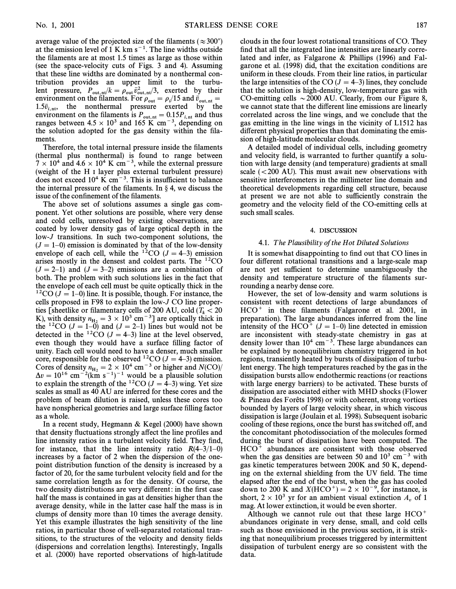average value of the projected size of the filaments ( $\approx 300^{\circ}$ ) at the emission level of 1 K km  $s^{-1}$ . The line widths outside the filaments are at most 1.5 times as large as those within (see the space-velocity cuts of Figs. 3 and 4). Assuming that these line widths are dominated by a nonthermal contribution provides an upper limit to the turbulent pressure,  $P_{\text{out, nt}}/k = \rho_{\text{out}} \bar{v}_{\text{out, nt}}^2/3$ , exerted by their environment on the filaments. For  $\rho_{\text{out}} = \rho_i/15$  and  $\bar{v}_{\text{out,nt}} =$ <br>15<sup> $\bar{v}_{\text{out}}$ </sup> the nonthermal pressure exerted by the 1.5 $\bar{v}_{\text{out}}$ , the nonthermal pressure exerted by the intervalse  $\bar{v}_{\text{out},\text{nt}}$  = 1.5 $\bar{v}_{\text{out},\text{nt}}$  = exerted by the services exerted by the services and thus environment on the filaments is  $P_{\text{out, nt}} = 0.15P_{i, nt}$  and thus ranges between  $4.5 \times 10^3$  and 165 K cm<sup>-3</sup>, depending on the solution adopted for the gas density within the filaments.

Therefore, the total internal pressure inside the filaments (thermal plus nonthermal) is found to range between  $7 \times 10^4$  and  $4.6 \times 10^4$  K cm<sup>-3</sup>, while the external pressure (weight of the H I layer plus external turbulent pressure) does not exceed  $10^4$  K cm<sup>-3</sup>. This is insufficient to balance the internal pressure of the filaments. In  $\S$  4, we discuss the issue of the confinement of the filaments.

The above set of solutions assumes a single gas component. Yet other solutions are possible, where very dense and cold cells, unresolved by existing observations, are coated by lower density gas of large optical depth in the low-J transitions. In such two-component solutions, the  $(J = 1-0)$  emission is dominated by that of the low-density envelope of each cell, while the <sup>12</sup>CO ( $J = 4-3$ ) emission arises mostly in the densest and coldest parts. The 12CO  $(J = 2-1)$  and  $(J = 3-2)$  emissions are a combination of both. The problem with such solutions lies in the fact that the envelope of each cell must be quite optically thick in the <sup>12</sup>CO ( $J = 1-0$ ) line. It is possible, though. For instance, the cells proposed in F98 to explain the low-J CO line properties [sheetlike or filamentary cells of 200 AU, cold ( $T_k < 20$ K), with density  $n_{H_2} = 3 \times 10^3$  cm  $^{-3}$  J are optically thick in<br>the <sup>12</sup>CO ( $I = 1.0$ ) and ( $I = 2.1$ ) lines but would not be the <sup>12</sup>CO ( $J = 1-\overline{0}$ ) and ( $J = 2-1$ ) lines but would not be detected in the <sup>12</sup>CO ( $J = 4-3$ ) line at the level observed, even though they would have a surface filling factor of unity. Each cell would need to have a denser, much smaller core, responsible for the observed <sup>12</sup>CO ( $J = 4-3$ ) emission. Cores of density  $n_{\text{H}_2} = 2 \times 10^4 \text{ cm}^{-3}$  or higher and  $N(\text{CO})/N$ <br>An  $= 10^{16} \text{ cm}^{-2}$  (km s<sup>-1</sup>)<sup>-1</sup> would be a plausible solution  $\Delta v = 10^{16}$  cm<sup>-2</sup>(km s<sup>-1</sup>)<sup>-1</sup> would be a plausible solution to explain the strength of the <sup>12</sup>CO ( $J = \overline{4}$ –3) wing. Yet size scales as small as 40 AU are inferred for these cores and the problem of beam dilution is raised, unless these cores too have nonspherical geometries and large surface filling factor as a whole.

In a recent study, Hegmann & Kegel (2000) have shown that density fluctuations strongly affect the line profiles and line intensity ratios in a turbulent velocity field. They find, for instance, that the line intensity ratio  $R(4-3/1-0)$ increases by a factor of 2 when the dispersion of the onepoint distribution function of the density is increased by a factor of 20, for the same turbulent velocity field and for the same correlation length as for the density. Of course, the two density distributions are very different: in the first case half the mass is contained in gas at densities higher than the average density, while in the latter case half the mass is in clumps of density more than 10 times the average density. Yet this example illustrates the high sensitivity of the line ratios, in particular those of well-separated rotational transitions, to the structures of the velocity and density fields (dispersions and correlation lengths). Interestingly, Ingalls et al. (2000) have reported observations of high-latitude clouds in the four lowest rotational transitions of CO. They find that all the integrated line intensities are linearly correlated and infer, as Falgarone & Phillips (1996) and Falgarone et al. (1998) did, that the excitation conditions are uniform in these clouds. From their line ratios, in particular the large intensities of the CO ( $J = 4-3$ ) lines, they conclude that the solution is high-density, low-temperature gas with CO-emitting cells  $\sim$  2000 AU. Clearly, from our Figure 8, we cannot state that the different line emissions are linearly correlated across the line wings, and we conclude that the gas emitting in the line wings in the vicinity of L1512 has different physical properties than that dominating the emission of high-latitude molecular clouds.

A detailed model of individual cells, including geometry and velocity field, is warranted to further quantify a solution with large density (and temperature) gradients at small scale  $(<200$  AU). This must await new observations with sensitive interferometers in the millimeter line domain and theoretical developments regarding cell structure, because at present we are not able to sufficiently constrain the geometry and the velocity field of the CO-emitting cells at such small scales.

### 4. DISCUSSION

#### 4.1. The Plausibility of the Hot Diluted Solutions

It is somewhat disappointing to find out that CO lines in four different rotational transitions and a large-scale map are not yet sufficient to determine unambiguously the density and temperature structure of the filaments surrounding a nearby dense core.

However, the set of low-density and warm solutions is consistent with recent detections of large abundances of  $HCO<sup>+</sup>$  in these filaments (Falgarone et al. 2001, in preparation). The large abundances inferred from the line intensity of the HCO<sup>+</sup> ( $J = 1-0$ ) line detected in emission are inconsistent with steady-state chemistry in gas at density lower than  $10^4$  cm<sup>-3</sup>. These large abundances can be explained by nonequilibrium chemistry triggered in hot regions, transiently heated by bursts of dissipation of turbulent energy. The high temperatures reached by the gas in the dissipation bursts allow endothermic reactions (or reactions with large energy barriers) to be activated. These bursts of dissipation are associated either with MHD shocks (Flower  $&$  Pineau des Forêts 1998) or with coherent, strong vortices bounded by layers of large velocity shear, in which viscous dissipation is large (Joulain et al. 1998). Subsequent isobaric cooling of these regions, once the burst has switched off, and the concomitant photodissociation of the molecules formed during the burst of dissipation have been computed. The  $HCO<sup>+</sup>$  abundances are consistent with those observed when the gas densities are between 50 and  $10^3$  cm<sup>-3</sup> with gas kinetic temperatures between 200K and 50 K, depending on the external shielding from the UV field. The time elapsed after the end of the burst, when the gas has cooled down to 200 K and  $X(HCO<sup>+</sup>) = 2 \times 10^{-9}$ , for instance, is short,  $2 \times 10^3$  yr for an ambient visual extinction  $A_v$  of 1 mag. At lower extinction, it would be even shorter.

Although we cannot rule out that these large  $HCO<sup>+</sup>$ abundances originate in very dense, small, and cold cells such as those envisioned in the previous section, it is striking that nonequilibrium processes triggered by intermittent dissipation of turbulent energy are so consistent with the data.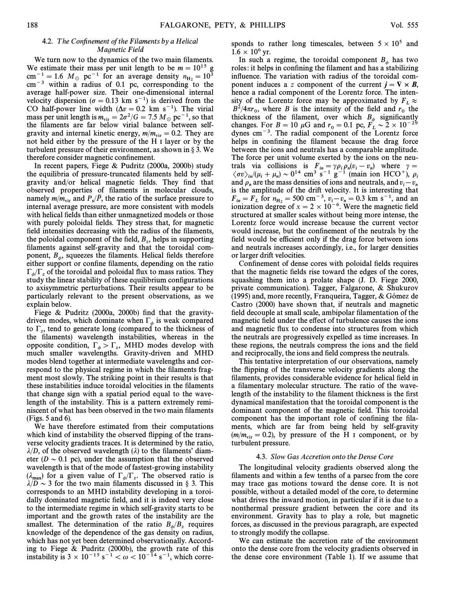# 4.2. The Confinement of the Filaments by a Helical Magnetic Field

We turn now to the dynamics of the two main filaments. We estimate their mass per unit length to be  $m = 10^{15}$  g cm<sup>-1</sup> = 1.6  $M_{\odot}$  pc<sup>-1</sup> for an average density  $n_{\rm H_2} = 10^3$ <br>cm<sup>-3</sup> within a radius of 0.1 pc corresponding to the  $\text{cm}^{-3}$  within a radius of 0.1 pc, corresponding to the average half-power size. Their one-dimensional internal velocity dispersion ( $\sigma = 0.13$  km s<sup>-1</sup>) is derived from the CO half-power line width  $(\Delta v = 0.2$  km s<sup>-1</sup>). The virial mass per unit length is  $m_{\text{vir}} = 2\sigma^2/G = 7.5 M_\odot \text{ pc}^{-1}$ , so that the filaments are far below virial balance between self. the filaments are far below virial balance between selfgravity and internal kinetic energy,  $m/m_{vir} = 0.2$ . They are not held either by the pressure of the H I layer or by the turbulent pressure of their environment, as shown in  $\S 3$ . We therefore consider magnetic confinement.

In recent papers, Fiege & Pudritz (2000a, 2000b) study the equilibria of pressure-truncated filaments held by selfgravity and/or helical magnetic fields. They find that observed properties of filaments in molecular clouds, namely  $m/m_{\text{vir}}$  and  $P_s/\overline{P}$ , the ratio of the surface pressure to internal average pressure are more consistent with models internal average pressure, are more consistent with models with helical fields than either unmagnetized models or those with purely poloidal fields. They stress that, for magnetic field intensities decreasing with the radius of the filaments, the poloidal component of the field,  $B_z$ , helps in supporting filaments against self gravity and that the toroidal comfilaments against self-gravity and that the toroidal component,  $B_{\phi}$ , squeezes the filaments. Helical fields therefore  $\phi$  is the ratio either support or confine filaments, depending on the ratio  $\Gamma_{\phi}/\Gamma_z$  of the toroidal and poloidal flux to mass ratios. They study the linear stability of these equilibrium configurations to axisymmetric perturbations. Their results appear to be particularly relevant to the present observations, as we explain below.

Fiege  $\&$  Pudritz (2000a, 2000b) find that the gravitydriven modes, which dominate when  $\Gamma_{\phi}$  is weak compared to  $\Gamma_z$ , tend to generate long (compared to the thickness of the filaments), wavelength instabilities, whereas in the the filaments) wavelength instabilities, whereas in the opposite condition,  $\Gamma_{\phi} > \Gamma_{z}$ , MHD modes develop with much smaller wavelengths. Gravity-driven and MHD much smaller wavelengths. Gravity-driven and MHD modes blend together at intermediate wavelengths and correspond to the physical regime in which the filaments fragment most slowly. The striking point in their results is that these instabilities induce toroidal velocities in the filaments that change sign with a spatial period equal to the wavelength of the instability. This is a pattern extremely reminiscent of what has been observed in the two main filaments (Figs. 5 and 6).

We have therefore estimated from their computations which kind of instability the observed flipping of the transverse velocity gradients traces. It is determined by the ratio,  $\lambda/D$ , of the observed wavelength ( $\lambda$ ) to the filaments' diameter ( $D \sim 0.1$  pc), under the assumption that the observed wavelength is that of the mode of fastest-growing instability  $(\lambda_{\text{max}})$  for a given value of  $\Gamma_{\phi}/\Gamma_{z}$ . The observed ratio is  $\lambda/(\Omega_{\phi})$  3 for the two main filaments discussed in 8.3. This  $\lambda/\overline{D} \sim 3$  for the two main filaments discussed in § 3. This corresponds to an MHD instability developing in a toroidally dominated magnetic field, and it is indeed very close to the intermediate regime in which self-gravity starts to be important and the growth rates of the instability are the smallest. The determination of the ratio  $B_{\phi}/B_{\tau}$  requires knowledge of the dependence of the gas density on radius, which has not yet been determined observationally. According to Fiege & Pudritz (2000b), the growth rate of this instability is  $3 \times 10^{-15}$  s<sup>{-1}</sup>  $< \omega \times 10^{-14}$  s<sup>-1</sup>, which corresponds to rather long timescales, between  $5 \times 10^5$  and  $1.6 \times 10^6$  yr.

In such a regime, the toroidal component  $B_{\phi}$  has two roles: it helps in confining the filament and has a stabilizing influence. The variation with radius of the toroidal component induces a z component of the current  $j = \nabla \times B$ , hence a radial component of the Lorentz force. The intensity of the Lorentz force may be approximated by  $F_L \approx$  $B^2/4\pi r_0$ , where B is the intensity of the field and  $r_0$  the bickness of the filament over which B significantly thickness of the filament, over which  $B_{\phi}$  significantly changes. For  $B = 10 \mu G$  and  $r_0 = 0.1$  pc,  $F_L \sim 2 \times 10^{-29}$ <br>dynas cm<sup>-3</sup>. The radial component of the Lorentz force dynes cm<sup> $-3$ </sup>. The radial component of the Lorentz force helps in confining the filament because the drag force between the ions and neutrals has a comparable amplitude. The force per unit volume exerted by the ions on the neutrals via collisions is  $F_{in} = \gamma \rho_i \rho_n (v_i - v_n)$  where  $\gamma =$  $\langle \sigma v \rangle_{in}/(\mu_i + \mu_n) \sim 0^{14}$  cm<sup>3</sup> s<sup>-1</sup> g<sup>-1</sup> (main ion HCO<sup>+</sup>),  $\rho$ <br>and  $\rho$  are the mass densities of ions and neutrals, and  $r-r$  $\begin{bmatrix} \n\sqrt{U} & \sqrt{U} & \mu_i \\ \n\end{bmatrix}$  are the mass densities of ions and neutrals, and  $v_i - v_i$ <br>is the amplitude of the drift velocity. It is interesting that ind  $p_n$  are the mass densities of folls and neutrals, and  $v_i - v_n$ <br>is the amplitude of the drift velocity. It is interesting that  $F_{in} = F_L$  for  $n_{\text{H}_2} = 500 \text{ cm}^{-3}$ ,  $v_i - v_n = 0.3 \text{ km s}^{-1}$ , and an invariant degree of  $x = 2 \times 10^{-6}$ . Were the magnetic field ionization degree of  $x = 2 \times 10^{-6}$ . Were the magnetic field structured at smaller scales without being more intense, the Lorentz force would increase because the current vector would increase, but the confinement of the neutrals by the field would be efficient only if the drag force between ions and neutrals increases accordingly, i.e., for larger densities or larger drift velocities.

Confinement of dense cores with poloidal fields requires that the magnetic fields rise toward the edges of the cores, squashing them into a prolate shape (J. D. Fiege 2000, private communication). Tagger, Falgarone, & Shukurov (1995) and, more recently, Franqueira, Tagger,  $&$  Gómez de Castro (2000) have shown that, if neutrals and magnetic field decouple at small scale, ambipolar filamentation of the magnetic field under the effect of turbulence causes the ions and magnetic Ñux to condense into structures from which the neutrals are progressively expelled as time increases. In these regions, the neutrals compress the ions and the field and reciprocally, the ions and field compress the neutrals.

This tentative interpretation of our observations, namely the flipping of the transverse velocity gradients along the filaments, provides considerable evidence for helical field in a filamentary molecular structure. The ratio of the wavelength of the instability to the filament thickness is the first dynamical manifestation that the toroidal component is the dominant component of the magnetic field. This toroidal component has the important role of confining the filaments, which are far from being held by self-gravity  $(m/m_{vir} = 0.2)$ , by pressure of the H I component, or by turbulent pressure.

# 4.3. Slow Gas Accretion onto the Dense Core

The longitudinal velocity gradients observed along the filaments and within a few tenths of a parsec from the core may trace gas motions toward the dense core. It is not possible, without a detailed model of the core, to determine what drives the inward motion, in particular if it is due to a nonthermal pressure gradient between the core and its environment. Gravity has to play a role, but magnetic forces, as discussed in the previous paragraph, are expected to strongly modify the collapse.

We can estimate the accretion rate of the environment onto the dense core from the velocity gradients observed in the dense core environment (Table 1). If we assume that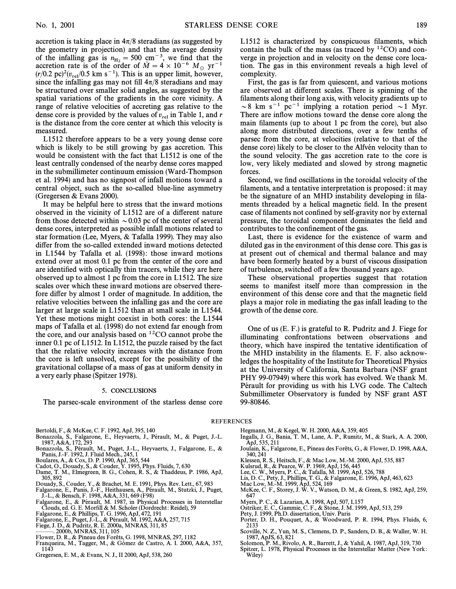accretion is taking place in  $4\pi/8$  steradians (as suggested by the geometry in projection) and that the average density of the infalling gas is  $n_{\text{H}_2} = 500 \text{ cm}^{-3}$ , we find that the accretion rate is of the order of  $\dot{M} = 4 \times 10^{-6} \text{ M}$  wr<sup>-1</sup> accretion rate is of the order of  $\dot{M} = 4 \times 10^{-6} M_{\odot} \text{ yr}^{-1}$ <br>(r/0.2 pc)<sup>2</sup>(n, /0.5 km s<sup>-1</sup>). This is an unper limit however  $(r/0.2 \text{ pc})^2(v_{\text{rel}}/0.5 \text{ km s}^{-1})$ . This is an upper limit, however, since the infalling gas may not fill  $4\pi/8$  steradians and may be structured over smaller solid angles, as suggested by the spatial variations of the gradients in the core vicinity. A range of relative velocities of accreting gas relative to the dense core is provided by the values of  $v_{rel}$  in Table 1, and r is the distance from the core center at which this velocity is measured.

L1512 therefore appears to be a very young dense core which is likely to be still growing by gas accretion. This would be consistent with the fact that L1512 is one of the least centrally condensed of the nearby dense cores mapped in the submillimeter continuum emission (Ward-Thompson et al. 1994) and has no signpost of infall motions toward a central object, such as the so-called blue-line asymmetry (Gregersen & Evans 2000).

It may be helpful here to stress that the inward motions observed in the vicinity of L1512 are of a different nature from those detected within  $\sim 0.03$  pc of the center of several dense cores, interpreted as possible infall motions related to star formation (Lee, Myers, & Tafalla 1999). They may also differ from the so-called extended inward motions detected in L1544 by Tafalla et al. (1998): those inward motions extend over at most 0.1 pc from the center of the core and are identified with optically thin tracers, while they are here observed up to almost 1 pc from the core in L1512. The size scales over which these inward motions are observed therefore differ by almost 1 order of magnitude. In addition, the relative velocities between the infalling gas and the core are larger at large scale in L1512 than at small scale in L1544. Yet these motions might coexist in both cores: the L1544 maps of Tafalla et al. (1998) do not extend far enough from the core, and our analysis based on  ${}^{12}CO$  cannot probe the inner 0.1 pc of L1512. In L1512, the puzzle raised by the fact that the relative velocity increases with the distance from the core is left unsolved, except for the possibility of the gravitational collapse of a mass of gas at uniform density in a very early phase (Spitzer 1978).

### 5. CONCLUSIONS

The parsec-scale environment of the starless dense core

Bertoldi, F., & McKee, C. F. 1992, ApJ, 395, 140

- Bonazzola, S., Falgarone, E., Heyvaerts, J., Pérault, M., & Puget, J.-L. 1987, A&A, 172, 293
- Bonazzola, S., Pérault, M., Puget, J.-L., Heyvaerts, J., Falgarone, E., & Panis, J.-F. 1992, J. Fluid Mech., 245, 1
- 
- 
- Boulares, A., & Cox, D. P. 1990, ApJ, 365, 544 Cadot, O., Douady, S., & Couder, Y. 1995, Phys. Fluids, 7, 630 Dame, T. M., Elmegreen, B. G., Cohen, R. S., & Thaddeus, P. 1986, ApJ, 305, 892
- Douady, S., Couder, Y., & Brachet, M. E. 1991, Phys. Rev. Lett., 67, 983
- Falgarone, E., Panis, J.-F., Heithausen, A., Pérault, M., Stutzki, J., Puget,
- J.-L., & Bensch, F. 1998, A&A, 331, 669 (F98)<br>Falgarone, E., & Pérault, M. 1987, in Physical Processes in Interstellar Clouds, ed. G. E. Morfill & M. Scholer (Dordrecht: Reidel), 59
- Falgarone, E., & Phillips, T. G. 1996, ApJ, 472, 191<br>Falgarone, E., Puget, J.-L., & Pérault, M. 1992, A&A, 257, 715
- 
- Fiege, J. D., & Pudritz, R. E. 2000a, MNRAS, 311, 85
- 2000b, MNRAS, 311, 105 Flower, D. R., & Pineau des Forêts, G. 1998, MNRAS, 297, 1182
- Franqueira, M., Tagger, M., & Gómez de Castro, A. I. 2000, A&A, 357, 1143

Gregersen, E. M., & Evans, N. J., II 2000, ApJ, 538, 260

L1512 is characterized by conspicuous filaments, which contain the bulk of the mass (as traced by  ${}^{12}CO$ ) and converge in projection and in velocity on the dense core location. The gas in this environment reveals a high level of complexity.

First, the gas is far from quiescent, and various motions are observed at different scales. There is spinning of the filaments along their long axis, with velocity gradients up to  $\sim$ 8 km s<sup>-1</sup> pc<sup>-1</sup> implying a rotation period  $\sim$ 1 Myr. There are inflow motions toward the dense core along the main filaments (up to about 1 pc from the core), but also along more distributed directions, over a few tenths of parsec from the core, at velocities (relative to that of the dense core) likely to be closer to the Alfvén velocity than to the sound velocity. The gas accretion rate to the core is low, very likely mediated and slowed by strong magnetic forces.

Second, we find oscillations in the toroidal velocity of the filaments, and a tentative interpretation is proposed: it may be the signature of an MHD instability developing in filaments threaded by a helical magnetic field. In the present case of filaments not confined by self-gravity nor by external pressure, the toroidal component dominates the field and contributes to the confinement of the gas.

Last, there is evidence for the existence of warm and diluted gas in the environment of this dense core. This gas is at present out of chemical and thermal balance and may have been formerly heated by a burst of viscous dissipation of turbulence, switched o† a few thousand years ago.

These observational properties suggest that rotation seems to manifest itself more than compression in the environment of this dense core and that the magnetic field plays a major role in mediating the gas infall leading to the growth of the dense core.

One of us (E. F.) is grateful to R. Pudritz and J. Fiege for illuminating confrontations between observations and theory, which have inspired the tentative identification of the MHD instability in the filaments. E. F. also acknowledges the hospitality of the Institute for Theoretical Physics at the University of California, Santa Barbara (NSF grant PHY 99-07949) where this work has evolved. We thank M. Pérault for providing us with his LVG code. The Caltech Submillimeter Observatory is funded by NSF grant AST 99-80846.

REFERENCES

- 
- Hegmann, M., & Kegel, W. H. 2000, A&A, 359, 405 Ingalls, J. G., Bania, T. M., Lane, A. P., Rumitz, M., & Stark, A. A. 2000, ApJ, 535, 211
- Joulain, K., Falgarone, E., Pineau des Forêts, G., & Flower, D. 1998, A&A, 340, 241
- Klessen, R. S., Heitsch, F., & Mac Low, M.-M. 2000, ApJ, 535, 887<br>Kulsrud, R., & Pearce, W. P. 1969, ApJ, 156, 445<br>Lee, C. W., Myers, P. C., & Tafalla, M. 1999, ApJ, 526, 788
- 
- 
- 
- Lis, D. C., Pety, J., Phillips, T. G., & Falgarone, E. 1996, ApJ, 463, 623 Mac Low, M.-M. 1999, ApJ, 524, 169
- McKee, C. F., Storey, J. W. V., Watson, D. M., & Green, S. 1982, ApJ, 259,
- 647
- Myers, P. C., & Lazarian, A. 1998, ApJ, 507, L157
- Ostriker, E. C., Gammie, C. F., & Stone, J. M. 1999, ApJ, 513, 259
- Pety, J. 1999, Ph.D. dissertation, Univ. Paris
- Porter, D. H., Pouquet, A., & Woodward, P. R. 1994, Phys. Fluids, 6, 2133
- Scoville, N. Z., Yun, M. S., Clemens, D. P., Sanders, D. B., & Waller, W. H. 1987, ApJS, 63, 821
- Solomon, P. M., Rivolo, A. R., Barrett, J., & Yahil, A. 1987, ApJ, 319, 730
- Spitzer, L. 1978, Physical Processes in the Interstellar Matter (New York : Wiley)